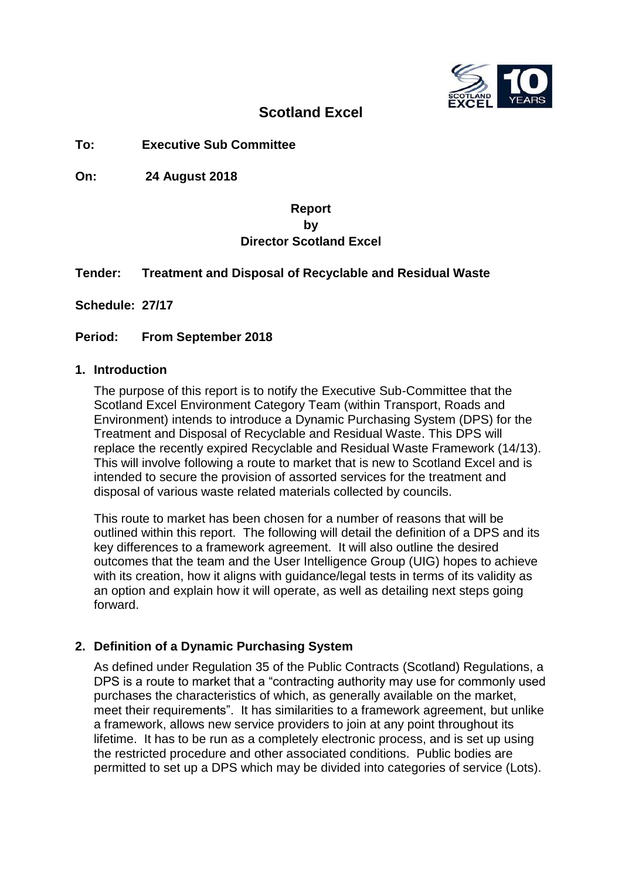

## **Scotland Excel**

**To: Executive Sub Committee**

**On: 24 August 2018**

## **Report by Director Scotland Excel**

#### **Tender: Treatment and Disposal of Recyclable and Residual Waste**

**Schedule: 27/17**

**Period: From September 2018**

#### **1. Introduction**

The purpose of this report is to notify the Executive Sub-Committee that the Scotland Excel Environment Category Team (within Transport, Roads and Environment) intends to introduce a Dynamic Purchasing System (DPS) for the Treatment and Disposal of Recyclable and Residual Waste. This DPS will replace the recently expired Recyclable and Residual Waste Framework (14/13). This will involve following a route to market that is new to Scotland Excel and is intended to secure the provision of assorted services for the treatment and disposal of various waste related materials collected by councils.

This route to market has been chosen for a number of reasons that will be outlined within this report. The following will detail the definition of a DPS and its key differences to a framework agreement. It will also outline the desired outcomes that the team and the User Intelligence Group (UIG) hopes to achieve with its creation, how it aligns with guidance/legal tests in terms of its validity as an option and explain how it will operate, as well as detailing next steps going forward.

## **2. Definition of a Dynamic Purchasing System**

As defined under Regulation 35 of the Public Contracts (Scotland) Regulations, a DPS is a route to market that a "contracting authority may use for commonly used purchases the characteristics of which, as generally available on the market, meet their requirements". It has similarities to a framework agreement, but unlike a framework, allows new service providers to join at any point throughout its lifetime. It has to be run as a completely electronic process, and is set up using the restricted procedure and other associated conditions. Public bodies are permitted to set up a DPS which may be divided into categories of service (Lots).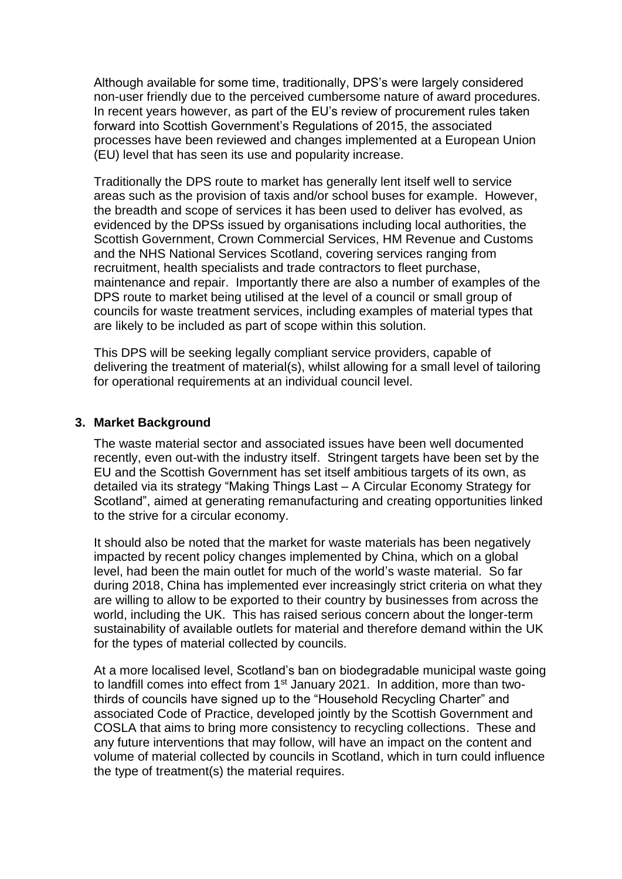Although available for some time, traditionally, DPS's were largely considered non-user friendly due to the perceived cumbersome nature of award procedures. In recent years however, as part of the EU's review of procurement rules taken forward into Scottish Government's Regulations of 2015, the associated processes have been reviewed and changes implemented at a European Union (EU) level that has seen its use and popularity increase.

Traditionally the DPS route to market has generally lent itself well to service areas such as the provision of taxis and/or school buses for example. However, the breadth and scope of services it has been used to deliver has evolved, as evidenced by the DPSs issued by organisations including local authorities, the Scottish Government, Crown Commercial Services, HM Revenue and Customs and the NHS National Services Scotland, covering services ranging from recruitment, health specialists and trade contractors to fleet purchase, maintenance and repair. Importantly there are also a number of examples of the DPS route to market being utilised at the level of a council or small group of councils for waste treatment services, including examples of material types that are likely to be included as part of scope within this solution.

This DPS will be seeking legally compliant service providers, capable of delivering the treatment of material(s), whilst allowing for a small level of tailoring for operational requirements at an individual council level.

#### **3. Market Background**

The waste material sector and associated issues have been well documented recently, even out-with the industry itself. Stringent targets have been set by the EU and the Scottish Government has set itself ambitious targets of its own, as detailed via its strategy "Making Things Last – A Circular Economy Strategy for Scotland", aimed at generating remanufacturing and creating opportunities linked to the strive for a circular economy.

It should also be noted that the market for waste materials has been negatively impacted by recent policy changes implemented by China, which on a global level, had been the main outlet for much of the world's waste material. So far during 2018, China has implemented ever increasingly strict criteria on what they are willing to allow to be exported to their country by businesses from across the world, including the UK. This has raised serious concern about the longer-term sustainability of available outlets for material and therefore demand within the UK for the types of material collected by councils.

At a more localised level, Scotland's ban on biodegradable municipal waste going to landfill comes into effect from 1<sup>st</sup> January 2021. In addition, more than twothirds of councils have signed up to the "Household Recycling Charter" and associated Code of Practice, developed jointly by the Scottish Government and COSLA that aims to bring more consistency to recycling collections. These and any future interventions that may follow, will have an impact on the content and volume of material collected by councils in Scotland, which in turn could influence the type of treatment(s) the material requires.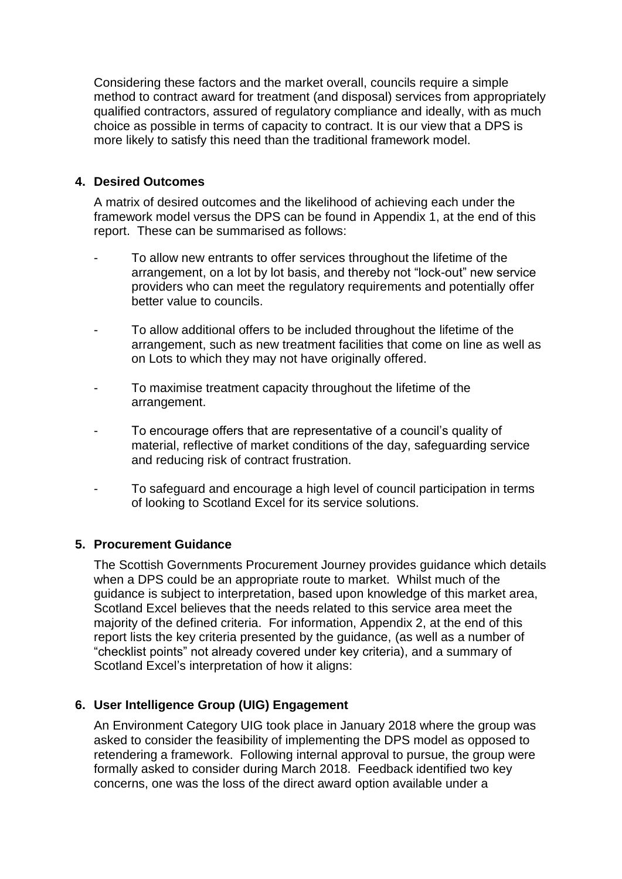Considering these factors and the market overall, councils require a simple method to contract award for treatment (and disposal) services from appropriately qualified contractors, assured of regulatory compliance and ideally, with as much choice as possible in terms of capacity to contract. It is our view that a DPS is more likely to satisfy this need than the traditional framework model.

## **4. Desired Outcomes**

A matrix of desired outcomes and the likelihood of achieving each under the framework model versus the DPS can be found in Appendix 1, at the end of this report. These can be summarised as follows:

- To allow new entrants to offer services throughout the lifetime of the arrangement, on a lot by lot basis, and thereby not "lock-out" new service providers who can meet the regulatory requirements and potentially offer better value to councils.
- To allow additional offers to be included throughout the lifetime of the arrangement, such as new treatment facilities that come on line as well as on Lots to which they may not have originally offered.
- To maximise treatment capacity throughout the lifetime of the arrangement.
- To encourage offers that are representative of a council's quality of material, reflective of market conditions of the day, safeguarding service and reducing risk of contract frustration.
- To safeguard and encourage a high level of council participation in terms of looking to Scotland Excel for its service solutions.

#### **5. Procurement Guidance**

The Scottish Governments Procurement Journey provides guidance which details when a DPS could be an appropriate route to market. Whilst much of the guidance is subject to interpretation, based upon knowledge of this market area, Scotland Excel believes that the needs related to this service area meet the majority of the defined criteria. For information, Appendix 2, at the end of this report lists the key criteria presented by the guidance, (as well as a number of "checklist points" not already covered under key criteria), and a summary of Scotland Excel's interpretation of how it aligns:

## **6. User Intelligence Group (UIG) Engagement**

An Environment Category UIG took place in January 2018 where the group was asked to consider the feasibility of implementing the DPS model as opposed to retendering a framework. Following internal approval to pursue, the group were formally asked to consider during March 2018. Feedback identified two key concerns, one was the loss of the direct award option available under a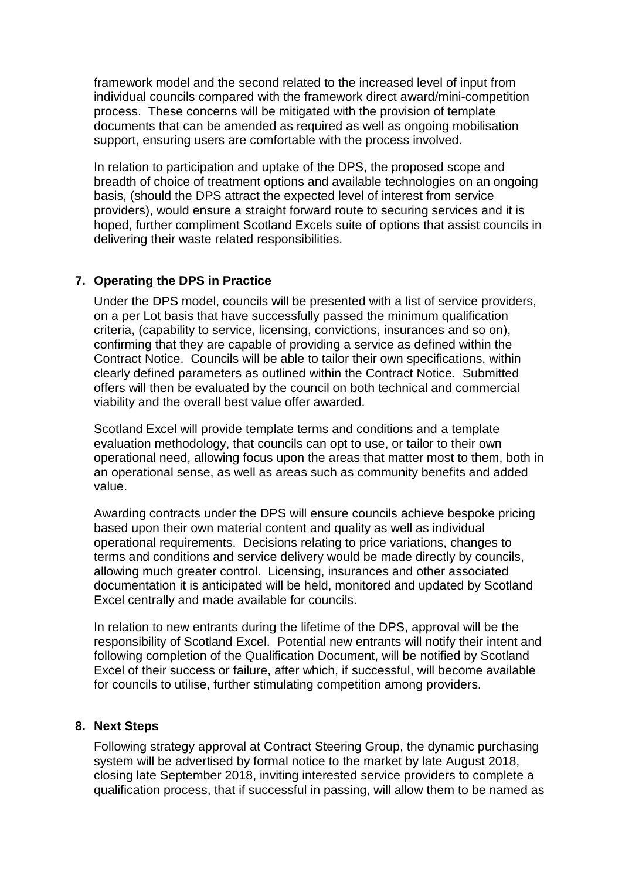framework model and the second related to the increased level of input from individual councils compared with the framework direct award/mini-competition process. These concerns will be mitigated with the provision of template documents that can be amended as required as well as ongoing mobilisation support, ensuring users are comfortable with the process involved.

In relation to participation and uptake of the DPS, the proposed scope and breadth of choice of treatment options and available technologies on an ongoing basis, (should the DPS attract the expected level of interest from service providers), would ensure a straight forward route to securing services and it is hoped, further compliment Scotland Excels suite of options that assist councils in delivering their waste related responsibilities.

### **7. Operating the DPS in Practice**

Under the DPS model, councils will be presented with a list of service providers, on a per Lot basis that have successfully passed the minimum qualification criteria, (capability to service, licensing, convictions, insurances and so on), confirming that they are capable of providing a service as defined within the Contract Notice. Councils will be able to tailor their own specifications, within clearly defined parameters as outlined within the Contract Notice. Submitted offers will then be evaluated by the council on both technical and commercial viability and the overall best value offer awarded.

Scotland Excel will provide template terms and conditions and a template evaluation methodology, that councils can opt to use, or tailor to their own operational need, allowing focus upon the areas that matter most to them, both in an operational sense, as well as areas such as community benefits and added value.

Awarding contracts under the DPS will ensure councils achieve bespoke pricing based upon their own material content and quality as well as individual operational requirements. Decisions relating to price variations, changes to terms and conditions and service delivery would be made directly by councils, allowing much greater control. Licensing, insurances and other associated documentation it is anticipated will be held, monitored and updated by Scotland Excel centrally and made available for councils.

In relation to new entrants during the lifetime of the DPS, approval will be the responsibility of Scotland Excel. Potential new entrants will notify their intent and following completion of the Qualification Document, will be notified by Scotland Excel of their success or failure, after which, if successful, will become available for councils to utilise, further stimulating competition among providers.

#### **8. Next Steps**

Following strategy approval at Contract Steering Group, the dynamic purchasing system will be advertised by formal notice to the market by late August 2018, closing late September 2018, inviting interested service providers to complete a qualification process, that if successful in passing, will allow them to be named as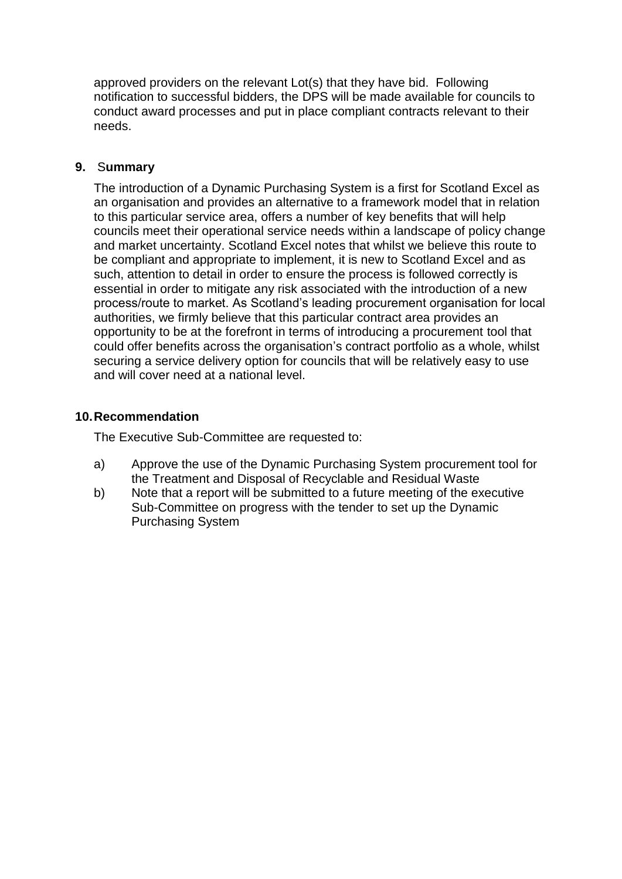approved providers on the relevant Lot(s) that they have bid. Following notification to successful bidders, the DPS will be made available for councils to conduct award processes and put in place compliant contracts relevant to their needs.

#### **9.** S**ummary**

The introduction of a Dynamic Purchasing System is a first for Scotland Excel as an organisation and provides an alternative to a framework model that in relation to this particular service area, offers a number of key benefits that will help councils meet their operational service needs within a landscape of policy change and market uncertainty. Scotland Excel notes that whilst we believe this route to be compliant and appropriate to implement, it is new to Scotland Excel and as such, attention to detail in order to ensure the process is followed correctly is essential in order to mitigate any risk associated with the introduction of a new process/route to market. As Scotland's leading procurement organisation for local authorities, we firmly believe that this particular contract area provides an opportunity to be at the forefront in terms of introducing a procurement tool that could offer benefits across the organisation's contract portfolio as a whole, whilst securing a service delivery option for councils that will be relatively easy to use and will cover need at a national level.

### **10.Recommendation**

The Executive Sub-Committee are requested to:

- a) Approve the use of the Dynamic Purchasing System procurement tool for the Treatment and Disposal of Recyclable and Residual Waste
- b) Note that a report will be submitted to a future meeting of the executive Sub-Committee on progress with the tender to set up the Dynamic Purchasing System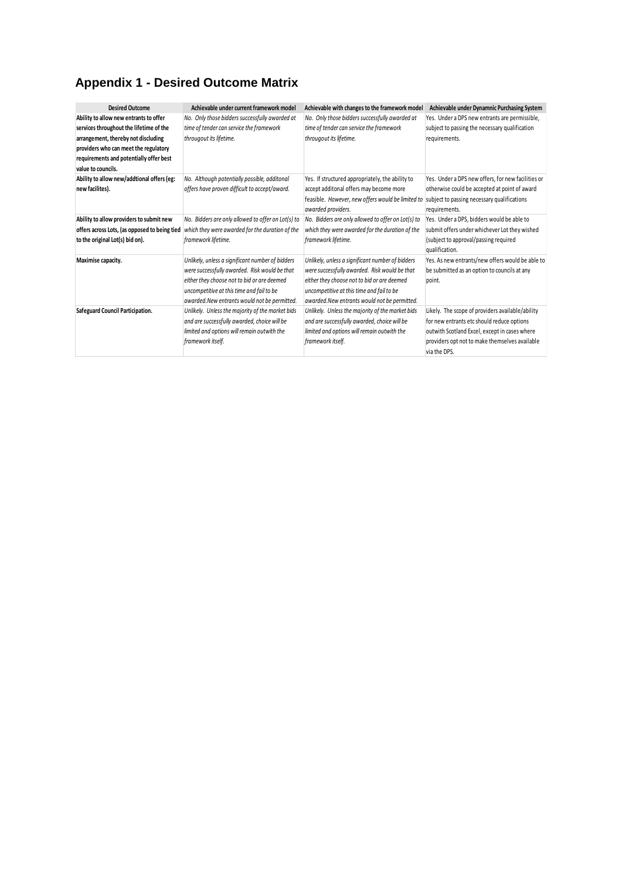# **Appendix 1 - Desired Outcome Matrix**

| <b>Desired Outcome</b>                        | Achievable under current framework model           | Achievable with changes to the framework model     | Achievable under Dynamnic Purchasing System        |
|-----------------------------------------------|----------------------------------------------------|----------------------------------------------------|----------------------------------------------------|
| Ability to allow new entrants to offer        | No. Only those bidders successfully awarded at     | No. Only those bidders successfully awarded at     | Yes. Under a DPS new entrants are permissible,     |
| services throughout the lifetime of the       | time of tender can service the framework           | time of tender can service the framework           | subject to passing the necessary qualification     |
| arrangement, thereby not discluding           | througout its lifetime.                            | througout its lifetime.                            | requirements.                                      |
| providers who can meet the regulatory         |                                                    |                                                    |                                                    |
| requirements and potentially offer best       |                                                    |                                                    |                                                    |
| value to councils.                            |                                                    |                                                    |                                                    |
| Ability to allow new/addtional offers (eg:    | No. Although potentially possible, additonal       | Yes. If structured appropriately, the ability to   | Yes. Under a DPS new offers, for new facilities or |
| new facilites).                               | offers have proven difficult to accept/award.      | accept additonal offers may become more            | otherwise could be accepted at point of award      |
|                                               |                                                    | feasible. However, new offers would be limited to  | subject to passing necessary qualifications        |
|                                               |                                                    | awarded providers.                                 | requirements.                                      |
| Ability to allow providers to submit new      | No. Bidders are only allowed to offer on Lot(s) to | No. Bidders are only allowed to offer on Lot(s) to | Yes. Under a DPS, bidders would be able to         |
| offers across Lots, (as opposed to being tied | which they were awarded for the duration of the    | which they were awarded for the duration of the    | submit offers under whichever Lot they wished      |
| to the original Lot(s) bid on).               | framework lifetime.                                | framework lifetime.                                | (subject to approval/passing required              |
|                                               |                                                    |                                                    | qualification.                                     |
| Maximise capacity.                            | Unlikely, unless a significant number of bidders   | Unlikely, unless a significant number of bidders   | Yes. As new entrants/new offers would be able to   |
|                                               | were successfully awarded. Risk would be that      | were successfully awarded. Risk would be that      | be submitted as an option to councils at any       |
|                                               | either they choose not to bid or are deemed        | either they choose not to bid or are deemed        | point.                                             |
|                                               | uncompetitive at this time and fail to be          | uncompetitive at this time and fail to be          |                                                    |
|                                               | awarded. New entrants would not be permitted.      | awarded. New entrants would not be permitted.      |                                                    |
| Safeguard Council Participation.              | Unlikely. Unless the majority of the market bids   | Unlikely. Unless the majority of the market bids   | Likely. The scope of providers available/ability   |
|                                               | and are successfully awarded, choice will be       | and are successfully awarded, choice will be       | for new entrants etc should reduce options         |
|                                               | limited and options will remain outwith the        | limited and options will remain outwith the        | outwith Scotland Excel, except in cases where      |
|                                               | framework itself.                                  | framework itself.                                  | providers opt not to make themselves available     |
|                                               |                                                    |                                                    | via the DPS.                                       |